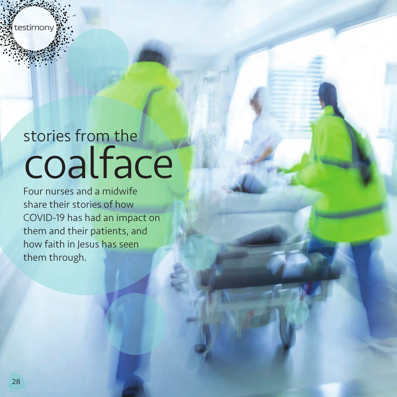testimony

# stories from the coalface

Four nurses and a midwife share their stories of how COVID-19 has had an impact on them and their patients, and how faith in Jesus has seen them through.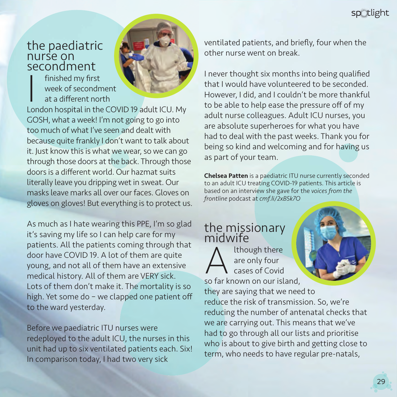spotlight

#### the paediatric nurse on secondment

Finished my first<br>
week of secondment<br>
at a different north<br>
London hospital in the COVID 19 adult ICU. My finished my first week of secondment at a different north



GOSH, what a week! I'm not going to go into too much of what I've seen and dealt with because quite frankly I don't want to talk about it. Just know this is what we wear, so we can go through those doors at the back. Through those doors is a different world. Our hazmat suits literally leave you dripping wet in sweat. Our masks leave marks all over our faces. Gloves on gloves on gloves! But everything is to protect us.

As much as I hate wearing this PPE, I'm so glad it's saving my life so I can help care for my patients. All the patients coming through that door have COVID 19. A lot of them are quite young, and not all of them have an extensive medical history. All of them are VERY sick. Lots of them don't make it. The mortality is so high. Yet some do – we clapped one patient off to the ward yesterday.

Before we paediatric ITU nurses were redeployed to the adult ICU, the nurses in this unit had up to six ventilated patients each. Six! In comparison today, I had two very sick

ventilated patients, and briefly, four when the other nurse went on break.

I never thought six months into being qualified that I would have volunteered to be seconded. However, I did, and I couldn't be more thankful to be able to help ease the pressure off of my adult nurse colleagues. Adult ICU nurses, you are absolute superheroes for what you have had to deal with the past weeks. Thank you for being so kind and welcoming and for having us as part of your team.

Chelsea Patten is a paediatric ITU nurse currently seconded to an adult ICU treating COVID-19 patients. This article is based on an interview she gave for the *voices from the frontline* podcast at *cmf.li/2xB5k7O*

## the missionary midwife

Although there<br>are only four<br>so far known on our island, are only four cases of Covid they are saying that we need to reduce the risk of transmission. So, we're reducing the number of antenatal checks that we are carrying out. This means that we've had to go through all our lists and prioritise who is about to give birth and getting close to term, who needs to have regular pre-natals,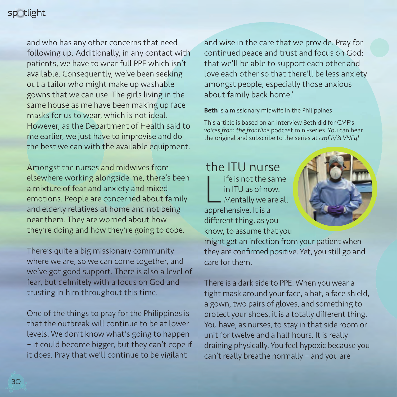

and who has any other concerns that need following up. Additionally, in any contact with patients, we have to wear full PPE which isn't available. Consequently, we've been seeking out a tailor who might make up washable gowns that we can use. The girls living in the same house as me have been making up face masks for us to wear, which is not ideal. However, as the Department of Health said to me earlier, we just have to improvise and do the best we can with the available equipment.

Amongst the nurses and midwives from elsewhere working alongside me, there's been a mixture of fear and anxiety and mixed emotions. People are concerned about family and elderly relatives at home and not being near them. They are worried about how they're doing and how they're going to cope.

There's quite a big missionary community where we are, so we can come together, and we've got good support. There is also a level of fear, but definitely with a focus on God and trusting in him throughout this time.

One of the things to pray for the Philippines is that the outbreak will continue to be at lower levels. We don't know what's going to happen – it could become bigger, but they can't cope if it does. Pray that we'll continue to be vigilant

and wise in the care that we provide. Pray for continued peace and trust and focus on God; that we'll be able to support each other and love each other so that there'll be less anxiety amongst people, especially those anxious about family back home.'

Beth is a missionary midwife in the Philippines

This article is based on an interview Beth did for CMF's *voices from the frontline* podcast mini-series. You can hear the original and subscribe to the series at *cmf.li/3cVNFql*

the ITU nurse Ife is not the s<br>
in ITU as of not<br>
Mentally we a<br>
apprehensive. It is a ife is not the same in ITU as of now. Mentally we are all different thing, as you know, to assume that you



might get an infection from your patient when they are confirmed positive. Yet, you still go and care for them.

There is a dark side to PPE. When you wear a tight mask around your face, a hat, a face shield, a gown, two pairs of gloves, and something to protect your shoes, it is a totally different thing. You have, as nurses, to stay in that side room or unit for twelve and a half hours. It is really draining physically. You feel hypoxic because you can't really breathe normally – and you are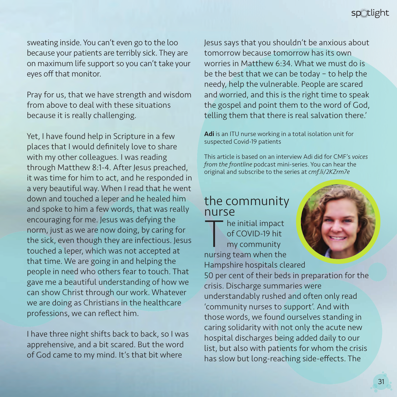sweating inside. You can't even go to the loo because your patients are terribly sick. They are on maximum life support so you can't take your eyes off that monitor.

Pray for us, that we have strength and wisdom from above to deal with these situations because it is really challenging.

Yet, I have found help in Scripture in a few places that I would definitely love to share with my other colleagues. I was reading through Matthew 8:1-4. After Jesus preached, it was time for him to act, and he responded in a very beautiful way. When I read that he went down and touched a leper and he healed him and spoke to him a few words, that was really encouraging for me. Jesus was defying the norm, just as we are now doing, by caring for the sick, even though they are infectious. Jesus touched a leper, which was not accepted at that time. We are going in and helping the people in need who others fear to touch. That gave me a beautiful understanding of how we can show Christ through our work. Whatever we are doing as Christians in the healthcare professions, we can reflect him.

I have three night shifts back to back, so I was apprehensive, and a bit scared. But the word of God came to my mind. It's that bit where

Jesus says that you shouldn't be anxious about tomorrow because tomorrow has its own worries in Matthew 6:34. What we must do is be the best that we can be today – to help the needy, help the vulnerable. People are scared and worried, and this is the right time to speak the gospel and point them to the word of God, telling them that there is real salvation there.'

Adi is an ITU nurse working in a total isolation unit for suspected Covid-19 patients

This article is based on an interview Adi did for CMF's *voices from the frontline* podcast mini-series. You can hear the original and subscribe to the series at *cmf.li/2KZrm7e*

### the community nurse

The initial impact<br>
of COVID-19 hit<br>
my community<br>
nursing team when the of COVID-19 hit my community

Hampshire hospitals cleared 50 per cent of their beds in preparation for the crisis. Discharge summaries were understandably rushed and often only read 'community nurses to support'. And with those words, we found ourselves standing in caring solidarity with not only the acute new hospital discharges being added daily to our list, but also with patients for whom the crisis has slow but long-reaching side-effects. The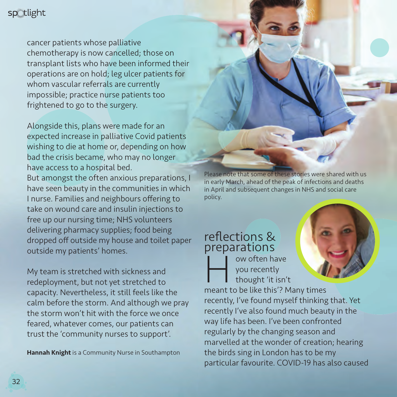

cancer patients whose palliative chemotherapy is now cancelled; those on transplant lists who have been informed their operations are on hold; leg ulcer patients for whom vascular referrals are currently impossible; practice nurse patients too frightened to go to the surgery.

Alongside this, plans were made for an expected increase in palliative Covid patients wishing to die at home or, depending on how bad the crisis became, who may no longer have access to a hospital bed. But amongst the often anxious preparations, I have seen beauty in the communities in which I nurse. Families and neighbours offering to take on wound care and insulin injections to free up our nursing time; NHS volunteers delivering pharmacy supplies; food being dropped off outside my house and toilet paper outside my patients' homes.

My team is stretched with sickness and redeployment, but not yet stretched to capacity. Nevertheless, it still feels like the calm before the storm. And although we pray the storm won't hit with the force we once feared, whatever comes, our patients can trust the 'community nurses to support'.

Hannah Knight is a Community Nurse in Southampton

Please note that some of these stories were shared with us in early March, ahead of the peak of infections and deaths in April and subsequent changes in NHS and social care policy.

# reflections & preparations<br> **I I** ow often have

w often have<br>
you recently<br>
thought 'it isn't<br>
meant to be like this'? Many times you recently thought 'it isn't

recently, I've found myself thinking that. Yet recently I've also found much beauty in the way life has been. I've been confronted regularly by the changing season and marvelled at the wonder of creation; hearing the birds sing in London has to be my particular favourite. COVID-19 has also caused